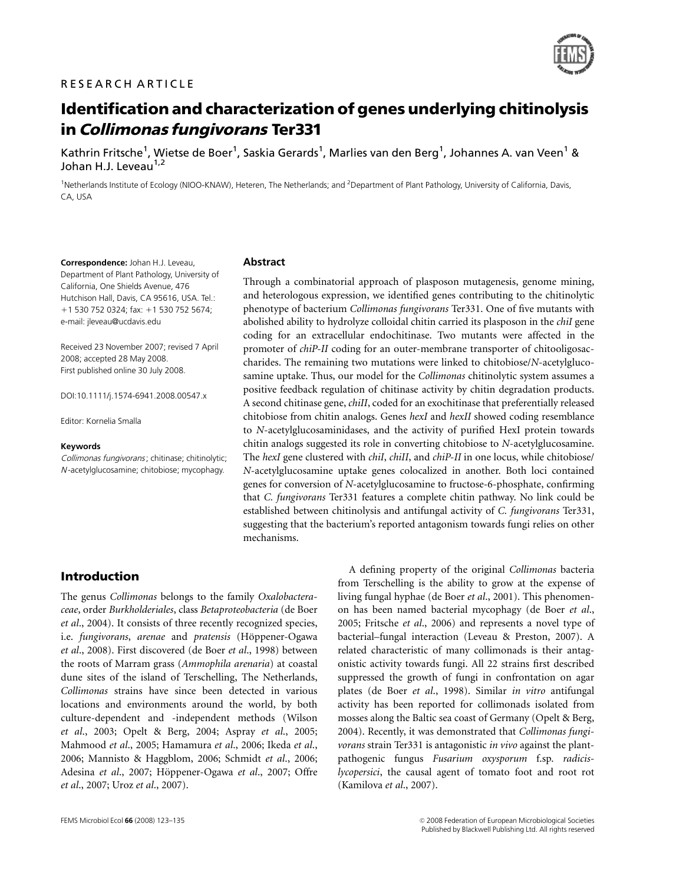# RESEARCH ARTICLE



# Identification and characterization of genes underlying chitinolysis in Collimonas fungivorans Ter331

Kathrin Fritsche<sup>1</sup>, Wietse de Boer<sup>1</sup>, Saskia Gerards<sup>1</sup>, Marlies van den Berg<sup>1</sup>, Johannes A. van Veen<sup>1</sup> & Johan H.J. Leveau<sup>1,2</sup>

<sup>1</sup>Netherlands Institute of Ecology (NIOO-KNAW), Heteren, The Netherlands; and <sup>2</sup>Department of Plant Pathology, University of California, Davis, CA, USA

Correspondence: Johan H.J. Leveau, Department of Plant Pathology, University of California, One Shields Avenue, 476 Hutchison Hall, Davis, CA 95616, USA. Tel.: +1 530 752 0324; fax: +1 530 752 5674; e-mail: jleveau@ucdavis.edu

Received 23 November 2007; revised 7 April 2008; accepted 28 May 2008. First published online 30 July 2008.

DOI:10.1111/j.1574-6941.2008.00547.x

Editor: Kornelia Smalla

#### Keywords

Collimonas fungivorans; chitinase; chitinolytic; <sup>N</sup> -acetylglucosamine; chitobiose; mycophagy.

#### Abstract

Through a combinatorial approach of plasposon mutagenesis, genome mining, and heterologous expression, we identified genes contributing to the chitinolytic phenotype of bacterium Collimonas fungivorans Ter331. One of five mutants with abolished ability to hydrolyze colloidal chitin carried its plasposon in the *chiI* gene coding for an extracellular endochitinase. Two mutants were affected in the promoter of chiP-II coding for an outer-membrane transporter of chitooligosaccharides. The remaining two mutations were linked to chitobiose/N-acetylglucosamine uptake. Thus, our model for the Collimonas chitinolytic system assumes a positive feedback regulation of chitinase activity by chitin degradation products. A second chitinase gene, chiII, coded for an exochitinase that preferentially released chitobiose from chitin analogs. Genes hexI and hexII showed coding resemblance to N-acetylglucosaminidases, and the activity of purified HexI protein towards chitin analogs suggested its role in converting chitobiose to N-acetylglucosamine. The hexI gene clustered with chiI, chiII, and chiP-II in one locus, while chitobiose/ N-acetylglucosamine uptake genes colocalized in another. Both loci contained genes for conversion of N-acetylglucosamine to fructose-6-phosphate, confirming that C. fungivorans Ter331 features a complete chitin pathway. No link could be established between chitinolysis and antifungal activity of C. fungivorans Ter331, suggesting that the bacterium's reported antagonism towards fungi relies on other mechanisms.

## Introduction

The genus Collimonas belongs to the family Oxalobacteraceae, order Burkholderiales, class Betaproteobacteria (de Boer et al., 2004). It consists of three recently recognized species, i.e. fungivorans, arenae and pratensis (Höppener-Ogawa et al., 2008). First discovered (de Boer et al., 1998) between the roots of Marram grass (Ammophila arenaria) at coastal dune sites of the island of Terschelling, The Netherlands, Collimonas strains have since been detected in various locations and environments around the world, by both culture-dependent and -independent methods (Wilson et al., 2003; Opelt & Berg, 2004; Aspray et al., 2005; Mahmood et al., 2005; Hamamura et al., 2006; Ikeda et al., 2006; Mannisto & Haggblom, 2006; Schmidt et al., 2006; Adesina et al., 2007; Höppener-Ogawa et al., 2007; Offre et al., 2007; Uroz et al., 2007).

A defining property of the original Collimonas bacteria from Terschelling is the ability to grow at the expense of living fungal hyphae (de Boer et al., 2001). This phenomenon has been named bacterial mycophagy (de Boer et al., 2005; Fritsche et al., 2006) and represents a novel type of bacterial–fungal interaction (Leveau & Preston, 2007). A related characteristic of many collimonads is their antagonistic activity towards fungi. All 22 strains first described suppressed the growth of fungi in confrontation on agar plates (de Boer et al., 1998). Similar in vitro antifungal activity has been reported for collimonads isolated from mosses along the Baltic sea coast of Germany (Opelt & Berg, 2004). Recently, it was demonstrated that Collimonas fungivorans strain Ter331 is antagonistic *in vivo* against the plantpathogenic fungus Fusarium oxysporum f.sp. radicislycopersici, the causal agent of tomato foot and root rot (Kamilova et al., 2007).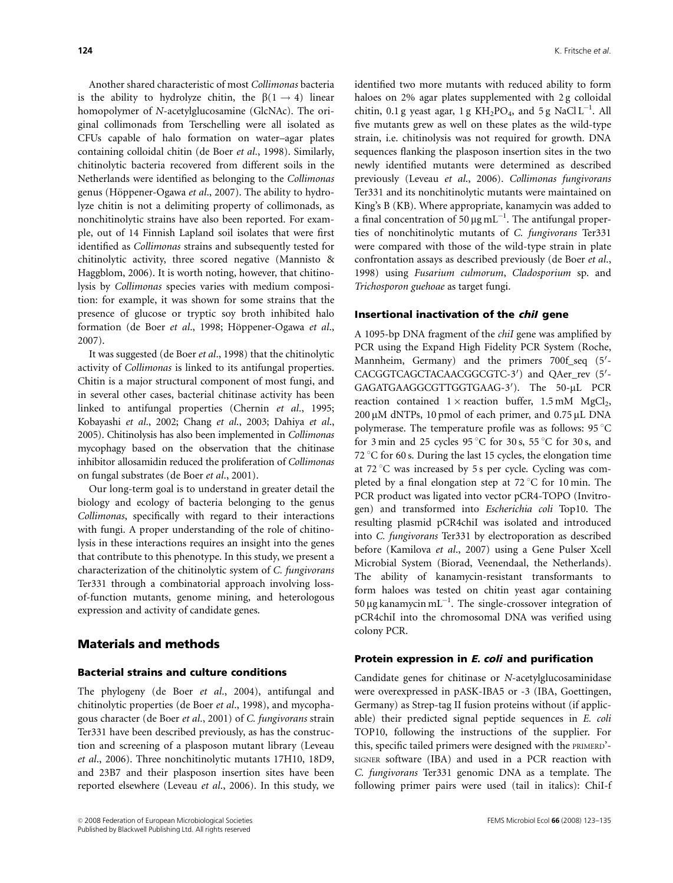Another shared characteristic of most Collimonas bacteria is the ability to hydrolyze chitin, the  $\beta(1 \rightarrow 4)$  linear homopolymer of N-acetylglucosamine (GlcNAc). The original collimonads from Terschelling were all isolated as CFUs capable of halo formation on water–agar plates containing colloidal chitin (de Boer et al., 1998). Similarly, chitinolytic bacteria recovered from different soils in the Netherlands were identified as belonging to the Collimonas genus (Höppener-Ogawa et al., 2007). The ability to hydrolyze chitin is not a delimiting property of collimonads, as nonchitinolytic strains have also been reported. For example, out of 14 Finnish Lapland soil isolates that were first identified as Collimonas strains and subsequently tested for chitinolytic activity, three scored negative (Mannisto & Haggblom, 2006). It is worth noting, however, that chitinolysis by Collimonas species varies with medium composition: for example, it was shown for some strains that the presence of glucose or tryptic soy broth inhibited halo formation (de Boer et al., 1998; Höppener-Ogawa et al., 2007).

It was suggested (de Boer et al., 1998) that the chitinolytic activity of Collimonas is linked to its antifungal properties. Chitin is a major structural component of most fungi, and in several other cases, bacterial chitinase activity has been linked to antifungal properties (Chernin et al., 1995; Kobayashi et al., 2002; Chang et al., 2003; Dahiya et al., 2005). Chitinolysis has also been implemented in Collimonas mycophagy based on the observation that the chitinase inhibitor allosamidin reduced the proliferation of Collimonas on fungal substrates (de Boer et al., 2001).

Our long-term goal is to understand in greater detail the biology and ecology of bacteria belonging to the genus Collimonas, specifically with regard to their interactions with fungi. A proper understanding of the role of chitinolysis in these interactions requires an insight into the genes that contribute to this phenotype. In this study, we present a characterization of the chitinolytic system of C. fungivorans Ter331 through a combinatorial approach involving lossof-function mutants, genome mining, and heterologous expression and activity of candidate genes.

## Materials and methods

#### Bacterial strains and culture conditions

The phylogeny (de Boer et al., 2004), antifungal and chitinolytic properties (de Boer et al., 1998), and mycophagous character (de Boer et al., 2001) of C. fungivorans strain Ter331 have been described previously, as has the construction and screening of a plasposon mutant library (Leveau et al., 2006). Three nonchitinolytic mutants 17H10, 18D9, and 23B7 and their plasposon insertion sites have been reported elsewhere (Leveau et al., 2006). In this study, we identified two more mutants with reduced ability to form haloes on 2% agar plates supplemented with 2 g colloidal chitin, 0.1 g yeast agar, 1 g  $KH_2PO_4$ , and 5 g NaCl L<sup>-1</sup>. All five mutants grew as well on these plates as the wild-type strain, i.e. chitinolysis was not required for growth. DNA sequences flanking the plasposon insertion sites in the two newly identified mutants were determined as described previously (Leveau et al., 2006). Collimonas fungivorans Ter331 and its nonchitinolytic mutants were maintained on King's B (KB). Where appropriate, kanamycin was added to a final concentration of 50  $\mu$ g mL<sup>-1</sup>. The antifungal properties of nonchitinolytic mutants of C. fungivorans Ter331 were compared with those of the wild-type strain in plate confrontation assays as described previously (de Boer et al., 1998) using Fusarium culmorum, Cladosporium sp. and Trichosporon guehoae as target fungi.

#### Insertional inactivation of the *chil* gene

A 1095-bp DNA fragment of the chiI gene was amplified by PCR using the Expand High Fidelity PCR System (Roche, Mannheim, Germany) and the primers 700f\_seq (5'-CACGGTCAGCTACAACGGCGTC-3') and QAer\_rev (5'-GAGATGAAGGCGTTGGTGAAG-3'). The 50-µL PCR reaction contained  $1 \times$  reaction buffer,  $1.5 \text{ mM } MgCl<sub>2</sub>$ ,  $200 \mu M$  dNTPs, 10 pmol of each primer, and  $0.75 \mu L$  DNA polymerase. The temperature profile was as follows:  $95^{\circ}$ C for 3 min and 25 cycles 95 °C for 30 s, 55 °C for 30 s, and 72  $\degree$ C for 60 s. During the last 15 cycles, the elongation time at 72 °C was increased by 5 s per cycle. Cycling was completed by a final elongation step at  $72^{\circ}$ C for 10 min. The PCR product was ligated into vector pCR4-TOPO (Invitrogen) and transformed into Escherichia coli Top10. The resulting plasmid pCR4chiI was isolated and introduced into C. fungivorans Ter331 by electroporation as described before (Kamilova et al., 2007) using a Gene Pulser Xcell Microbial System (Biorad, Veenendaal, the Netherlands). The ability of kanamycin-resistant transformants to form haloes was tested on chitin yeast agar containing 50 µg kanamycin mL $^{-1}$ . The single-crossover integration of pCR4chiI into the chromosomal DNA was verified using colony PCR.

#### Protein expression in E. coli and purification

Candidate genes for chitinase or N-acetylglucosaminidase were overexpressed in pASK-IBA5 or -3 (IBA, Goettingen, Germany) as Strep-tag II fusion proteins without (if applicable) their predicted signal peptide sequences in E. coli TOP10, following the instructions of the supplier. For this, specific tailed primers were designed with the PRIMERD'- SIGNER software (IBA) and used in a PCR reaction with C. fungivorans Ter331 genomic DNA as a template. The following primer pairs were used (tail in italics): ChiI-f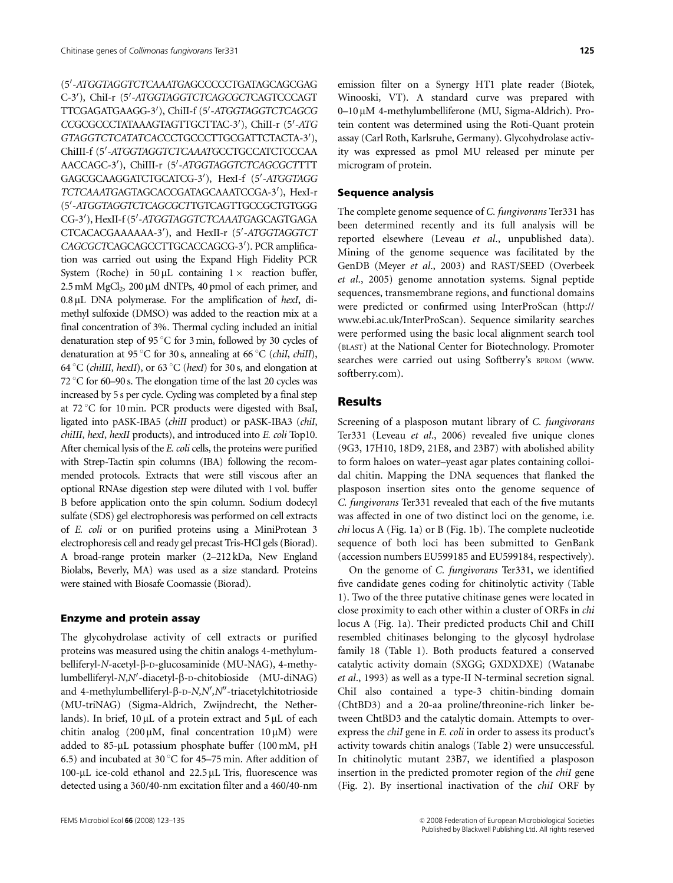(5'-ATGGTAGGTCTCAAATGAGCCCCCTGATAGCAGCGAG C-3'), ChiI-r (5'-ATGGTAGGTCTCAGCGCTCAGTCCCAGT TTCGAGATGAAGG-3<sup>0</sup> ), ChiII-f (5<sup>0</sup> -ATGGTAGGTCTCAGCG CCGCGCCCTATAAAGTAGTTGCTTAC-3'), ChiII-r (5'-ATG GTAGGTCTCATATCACCCTGCCCTTGCGATTCTACTA-3'), ChiIII-f (5'-ATGGTAGGTCTCAAATGCCTGCCATCTCCCAA AACCAGC-3'), ChiIII-r (5'-ATGGTAGGTCTCAGCGCTTTT GAGCGCAAGGATCTGCATCG-3'), HexI-f (5'-ATGGTAGG TCTCAAATGAGTAGCACCGATAGCAAATCCGA-3'), HexI-r (5'-ATGGTAGGTCTCAGCGCTTGTCAGTTGCCGCTGTGGG CG-3'), HexII-f (5'-ATGGTAGGTCTCAAATGAGCAGTGAGA CTCACACGAAAAAA-3'), and HexII-r (5'-ATGGTAGGTCT CAGCGCTCAGCAGCCTTGCACCAGCG-3'). PCR amplification was carried out using the Expand High Fidelity PCR System (Roche) in 50 µL containing  $1 \times$  reaction buffer,  $2.5 \text{ mM } MgCl<sub>2</sub>$ ,  $200 \mu \text{M } dNTPs$ ,  $40 \text{ pmol }$  of each primer, and  $0.8 \mu L$  DNA polymerase. For the amplification of hexI, dimethyl sulfoxide (DMSO) was added to the reaction mix at a final concentration of 3%. Thermal cycling included an initial denaturation step of 95 $\degree$ C for 3 min, followed by 30 cycles of denaturation at 95 °C for 30 s, annealing at 66 °C (*chiI, chiII*), 64 °C (*chiIII, hexII*), or 63 °C (*hexI*) for 30 s, and elongation at 72  $\degree$ C for 60–90 s. The elongation time of the last 20 cycles was increased by 5 s per cycle. Cycling was completed by a final step at  $72^{\circ}$ C for 10 min. PCR products were digested with BsaI, ligated into pASK-IBA5 (chiII product) or pASK-IBA3 (chiI, chiIII, hexI, hexII products), and introduced into E. coli Top10. After chemical lysis of the E. coli cells, the proteins were purified with Strep-Tactin spin columns (IBA) following the recommended protocols. Extracts that were still viscous after an optional RNAse digestion step were diluted with 1 vol. buffer B before application onto the spin column. Sodium dodecyl sulfate (SDS) gel electrophoresis was performed on cell extracts of E. coli or on purified proteins using a MiniProtean 3 electrophoresis cell and ready gel precast Tris-HCl gels (Biorad). A broad-range protein marker (2–212 kDa, New England Biolabs, Beverly, MA) was used as a size standard. Proteins were stained with Biosafe Coomassie (Biorad).

#### Enzyme and protein assay

The glycohydrolase activity of cell extracts or purified proteins was measured using the chitin analogs 4-methylumbelliferyl-N-acetyl-b-D-glucosaminide (MU-NAG), 4-methylumbelliferyl-N,N'-diacetyl-β-D-chitobioside (MU-diNAG) and 4-methylumbelliferyl-β-D-N,N',N"-triacetylchitotrioside (MU-triNAG) (Sigma-Aldrich, Zwijndrecht, the Netherlands). In brief,  $10 \mu L$  of a protein extract and  $5 \mu L$  of each chitin analog (200  $\mu$ M, final concentration 10  $\mu$ M) were added to  $85-\mu L$  potassium phosphate buffer (100 mM, pH 6.5) and incubated at 30 °C for 45–75 min. After addition of 100- $\mu$ L ice-cold ethanol and 22.5  $\mu$ L Tris, fluorescence was detected using a 360/40-nm excitation filter and a 460/40-nm

emission filter on a Synergy HT1 plate reader (Biotek, Winooski, VT). A standard curve was prepared with 0–10 mM 4-methylumbelliferone (MU, Sigma-Aldrich). Protein content was determined using the Roti-Quant protein assay (Carl Roth, Karlsruhe, Germany). Glycohydrolase activity was expressed as pmol MU released per minute per microgram of protein.

#### Sequence analysis

The complete genome sequence of C. fungivorans Ter331 has been determined recently and its full analysis will be reported elsewhere (Leveau et al., unpublished data). Mining of the genome sequence was facilitated by the GenDB (Meyer et al., 2003) and RAST/SEED (Overbeek et al., 2005) genome annotation systems. Signal peptide sequences, transmembrane regions, and functional domains were predicted or confirmed using InterProScan (http:// www.ebi.ac.uk/InterProScan). Sequence similarity searches were performed using the basic local alignment search tool (BLAST) at the National Center for Biotechnology. Promoter searches were carried out using Softberry's BPROM (www. softberry.com).

## Results

Screening of a plasposon mutant library of C. fungivorans Ter331 (Leveau et al., 2006) revealed five unique clones (9G3, 17H10, 18D9, 21E8, and 23B7) with abolished ability to form haloes on water–yeast agar plates containing colloidal chitin. Mapping the DNA sequences that flanked the plasposon insertion sites onto the genome sequence of C. fungivorans Ter331 revealed that each of the five mutants was affected in one of two distinct loci on the genome, i.e. chi locus A (Fig. 1a) or B (Fig. 1b). The complete nucleotide sequence of both loci has been submitted to GenBank (accession numbers EU599185 and EU599184, respectively).

On the genome of C. fungivorans Ter331, we identified five candidate genes coding for chitinolytic activity (Table 1). Two of the three putative chitinase genes were located in close proximity to each other within a cluster of ORFs in chi locus A (Fig. 1a). Their predicted products ChiI and ChiII resembled chitinases belonging to the glycosyl hydrolase family 18 (Table 1). Both products featured a conserved catalytic activity domain (SXGG; GXDXDXE) (Watanabe et al., 1993) as well as a type-II N-terminal secretion signal. ChiI also contained a type-3 chitin-binding domain (ChtBD3) and a 20-aa proline/threonine-rich linker between ChtBD3 and the catalytic domain. Attempts to overexpress the chiI gene in E. coli in order to assess its product's activity towards chitin analogs (Table 2) were unsuccessful. In chitinolytic mutant 23B7, we identified a plasposon insertion in the predicted promoter region of the chiI gene (Fig. 2). By insertional inactivation of the chiI ORF by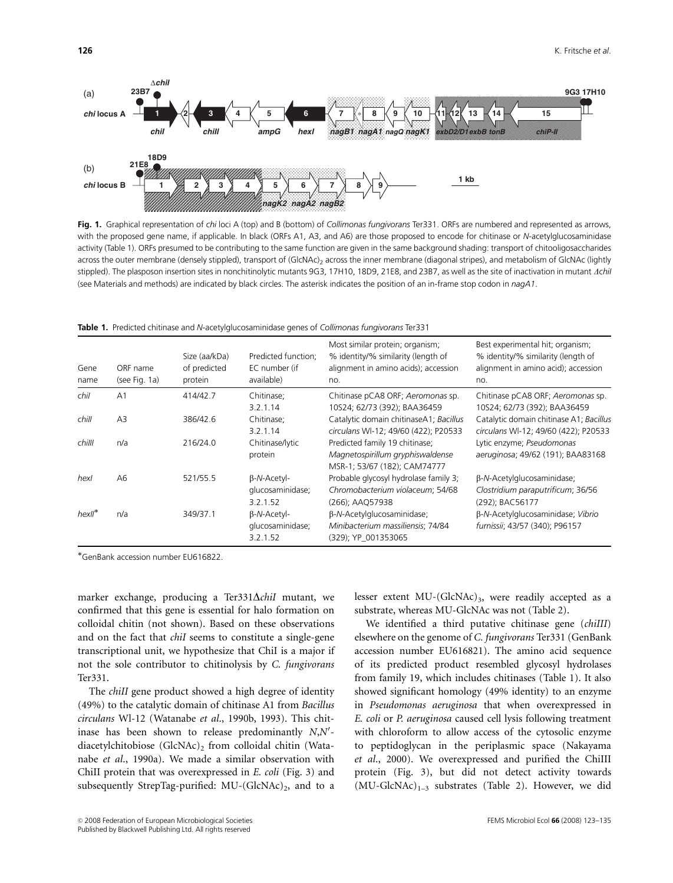

Fig. 1. Graphical representation of chi loci A (top) and B (bottom) of Collimonas fungivorans Ter331. ORFs are numbered and represented as arrows, with the proposed gene name, if applicable. In black (ORFs A1, A3, and A6) are those proposed to encode for chitinase or N-acetylglucosaminidase activity (Table 1). ORFs presumed to be contributing to the same function are given in the same background shading: transport of chitooligosaccharides across the outer membrane (densely stippled), transport of (GlcNAc)<sub>2</sub> across the inner membrane (diagonal stripes), and metabolism of GlcNAc (lightly stippled). The plasposon insertion sites in nonchitinolytic mutants 9G3, 17H10, 18D9, 21E8, and 23B7, as well as the site of inactivation in mutant *AchiI* (see Materials and methods) are indicated by black circles. The asterisk indicates the position of an in-frame stop codon in nagA1.

|  |  |  | <b>Table 1.</b> Predicted chitinase and <i>N</i> -acetylglucosaminidase genes of <i>Collimonas fungivorans</i> Ter331 |  |  |  |  |
|--|--|--|-----------------------------------------------------------------------------------------------------------------------|--|--|--|--|
|--|--|--|-----------------------------------------------------------------------------------------------------------------------|--|--|--|--|

| Gene<br>name | ORF name<br>(see Fig. 1a) | Size (aa/kDa)<br>of predicted<br>protein | Predicted function;<br>EC number (if<br>available) | Most similar protein; organism;<br>% identity/% similarity (length of<br>alignment in amino acids); accession<br>no. | Best experimental hit; organism;<br>% identity/% similarity (length of<br>alignment in amino acid); accession<br>no. |
|--------------|---------------------------|------------------------------------------|----------------------------------------------------|----------------------------------------------------------------------------------------------------------------------|----------------------------------------------------------------------------------------------------------------------|
| chil         | A <sub>1</sub>            | 414/42.7                                 | Chitinase:<br>3.2.1.14                             | Chitinase pCA8 ORF; Aeromonas sp.<br>10S24; 62/73 (392); BAA36459                                                    | Chitinase pCA8 ORF; Aeromonas sp.<br>10S24; 62/73 (392); BAA36459                                                    |
| chill        | A <sub>3</sub>            | 386/42.6                                 | Chitinase;<br>3.2.1.14                             | Catalytic domain chitinaseA1; Bacillus<br>circulans WI-12; 49/60 (422); P20533                                       | Catalytic domain chitinase A1; Bacillus<br>circulans WI-12; 49/60 (422); P20533                                      |
| chilll       | n/a                       | 216/24.0                                 | Chitinase/lytic<br>protein                         | Predicted family 19 chitinase;<br>Magnetospirillum gryphiswaldense<br>MSR-1; 53/67 (182); CAM74777                   | Lytic enzyme; Pseudomonas<br>aeruginosa; 49/62 (191); BAA83168                                                       |
| hexl         | A6                        | 521/55.5                                 | $\beta$ -N-Acetyl-<br>glucosaminidase;<br>3.2.1.52 | Probable glycosyl hydrolase family 3;<br>Chromobacterium violaceum; 54/68<br>(266): AAO57938                         | β-N-Acetylglucosaminidase;<br>Clostridium paraputrificum; 36/56<br>(292); BAC56177                                   |
| $hexII^*$    | n/a                       | 349/37.1                                 | $\beta$ -N-Acetyl-<br>glucosaminidase;<br>3.2.1.52 | β-N-Acetylglucosaminidase;<br>Minibacterium massiliensis; 74/84<br>(329); YP 001353065                               | β-N-Acetylglucosaminidase; Vibrio<br>furnissii; 43/57 (340); P96157                                                  |

GenBank accession number EU616822.

marker exchange, producing a Ter331 $\Delta$ *chiI* mutant, we confirmed that this gene is essential for halo formation on colloidal chitin (not shown). Based on these observations and on the fact that *chiI* seems to constitute a single-gene transcriptional unit, we hypothesize that ChiI is a major if not the sole contributor to chitinolysis by C. fungivorans Ter331.

The *chiII* gene product showed a high degree of identity (49%) to the catalytic domain of chitinase A1 from Bacillus circulans Wl-12 (Watanabe et al., 1990b, 1993). This chitinase has been shown to release predominantly  $N, N'$ diacetylchitobiose (GlcNAc)<sub>2</sub> from colloidal chitin (Watanabe et al., 1990a). We made a similar observation with ChiII protein that was overexpressed in E. coli (Fig. 3) and subsequently StrepTag-purified:  $MU-(GlcNAc)<sub>2</sub>$ , and to a lesser extent MU-(GlcNAc)<sub>3</sub>, were readily accepted as a substrate, whereas MU-GlcNAc was not (Table 2).

We identified a third putative chitinase gene (chiIII) elsewhere on the genome of C. fungivorans Ter331 (GenBank accession number EU616821). The amino acid sequence of its predicted product resembled glycosyl hydrolases from family 19, which includes chitinases (Table 1). It also showed significant homology (49% identity) to an enzyme in Pseudomonas aeruginosa that when overexpressed in E. coli or P. aeruginosa caused cell lysis following treatment with chloroform to allow access of the cytosolic enzyme to peptidoglycan in the periplasmic space (Nakayama et al., 2000). We overexpressed and purified the ChiIII protein (Fig. 3), but did not detect activity towards  $(MU-GlcNAc)_{1-3}$  substrates (Table 2). However, we did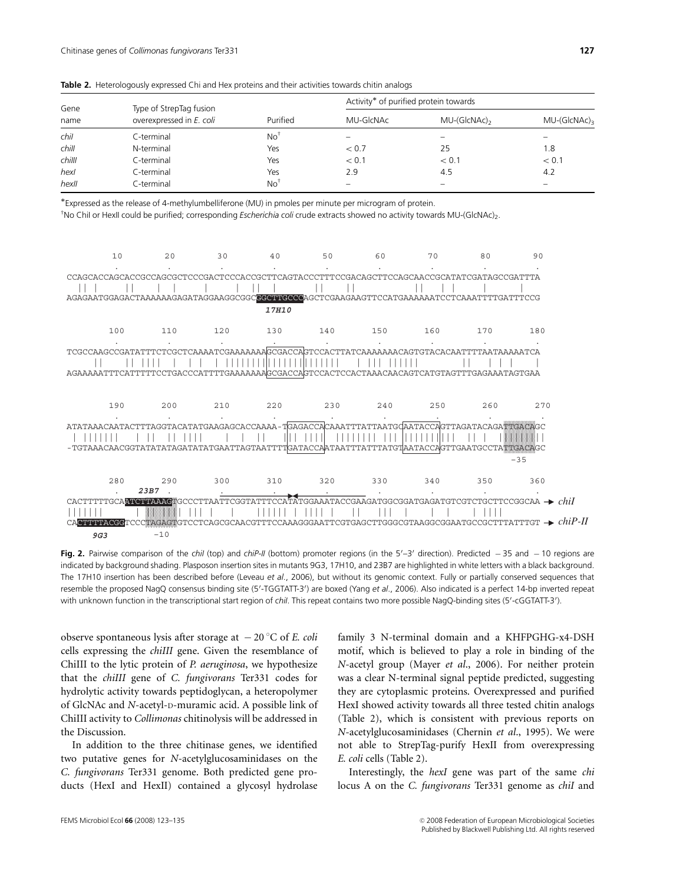| Gene<br>name | Type of StrepTag fusion  |                 | Activity* of purified protein towards |               |               |
|--------------|--------------------------|-----------------|---------------------------------------|---------------|---------------|
|              | overexpressed in E. coli | Purified        | MU-GIcNAc                             | $MU-(GICNAc)$ | $MU-(GICNAc)$ |
| chil         | C-terminal               | No <sup>1</sup> | -                                     | -             |               |
| chill        | N-terminal               | Yes             | < 0.7                                 | 25            | 1.8           |
| chilll       | C-terminal               | Yes             | < 0.1                                 | < 0.1         | < 0.1         |
| hexl         | C-terminal               | Yes             | 2.9                                   | 4.5           | 4.2           |
| hexll        | C-terminal               | No <sup>†</sup> | -                                     |               |               |

Table 2. Heterologously expressed Chi and Hex proteins and their activities towards chitin analogs

Expressed as the release of 4-methylumbelliferone (MU) in pmoles per minute per microgram of protein.

'No ChiI or HexII could be purified; corresponding *Escherichia coli* crude extracts showed no activity towards MU-(GlcNAc)<sub>2</sub>.



Fig. 2. Pairwise comparison of the chil (top) and chiP-II (bottom) promoter regions (in the 5'-3' direction). Predicted  $-35$  and  $-10$  regions are indicated by background shading. Plasposon insertion sites in mutants 9G3, 17H10, and 23B7 are highlighted in white letters with a black background. The 17H10 insertion has been described before (Leveau et al., 2006), but without its genomic context. Fully or partially conserved sequences that resemble the proposed NagQ consensus binding site (5'-TGGTATT-3') are boxed (Yang et al., 2006). Also indicated is a perfect 14-bp inverted repeat with unknown function in the transcriptional start region of chil. This repeat contains two more possible NagQ-binding sites (5'-cGGTATT-3').

observe spontaneous lysis after storage at  $-20$  °C of E. coli cells expressing the chiIII gene. Given the resemblance of ChiIII to the lytic protein of P. aeruginosa, we hypothesize that the chiIII gene of C. fungivorans Ter331 codes for hydrolytic activity towards peptidoglycan, a heteropolymer of GlcNAc and N-acetyl-D-muramic acid. A possible link of ChiIII activity to Collimonas chitinolysis will be addressed in the Discussion.

In addition to the three chitinase genes, we identified two putative genes for N-acetylglucosaminidases on the C. fungivorans Ter331 genome. Both predicted gene products (HexI and HexII) contained a glycosyl hydrolase family 3 N-terminal domain and a KHFPGHG-x4-DSH motif, which is believed to play a role in binding of the N-acetyl group (Mayer et al., 2006). For neither protein was a clear N-terminal signal peptide predicted, suggesting they are cytoplasmic proteins. Overexpressed and purified HexI showed activity towards all three tested chitin analogs (Table 2), which is consistent with previous reports on N-acetylglucosaminidases (Chernin et al., 1995). We were not able to StrepTag-purify HexII from overexpressing E. coli cells (Table 2).

Interestingly, the hexI gene was part of the same chi locus A on the C. fungivorans Ter331 genome as chiI and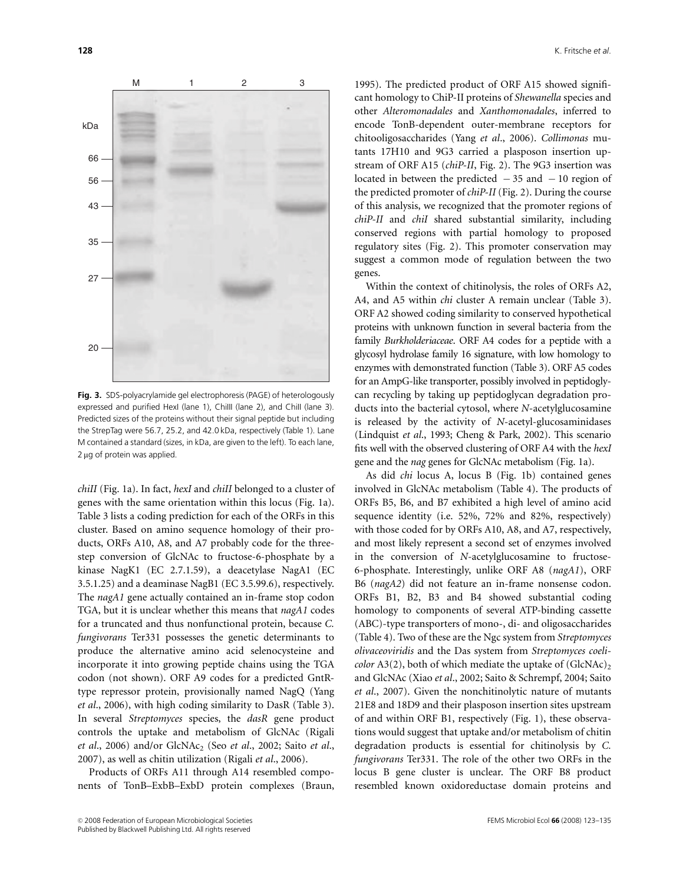

Fig. 3. SDS-polyacrylamide gel electrophoresis (PAGE) of heterologously expressed and purified HexI (lane 1), ChiIII (lane 2), and ChiII (lane 3). Predicted sizes of the proteins without their signal peptide but including the StrepTag were 56.7, 25.2, and 42.0 kDa, respectively (Table 1). Lane M contained a standard (sizes, in kDa, are given to the left). To each lane,  $2 \mu$ g of protein was applied.

chiII (Fig. 1a). In fact, hexI and chiII belonged to a cluster of genes with the same orientation within this locus (Fig. 1a). Table 3 lists a coding prediction for each of the ORFs in this cluster. Based on amino sequence homology of their products, ORFs A10, A8, and A7 probably code for the threestep conversion of GlcNAc to fructose-6-phosphate by a kinase NagK1 (EC 2.7.1.59), a deacetylase NagA1 (EC 3.5.1.25) and a deaminase NagB1 (EC 3.5.99.6), respectively. The nagA1 gene actually contained an in-frame stop codon TGA, but it is unclear whether this means that nagA1 codes for a truncated and thus nonfunctional protein, because C. fungivorans Ter331 possesses the genetic determinants to produce the alternative amino acid selenocysteine and incorporate it into growing peptide chains using the TGA codon (not shown). ORF A9 codes for a predicted GntRtype repressor protein, provisionally named NagQ (Yang et al., 2006), with high coding similarity to DasR (Table 3). In several Streptomyces species, the dasR gene product controls the uptake and metabolism of GlcNAc (Rigali et al., 2006) and/or  $GlcNAc<sub>2</sub>$  (Seo et al., 2002; Saito et al., 2007), as well as chitin utilization (Rigali et al., 2006).

Products of ORFs A11 through A14 resembled components of TonB–ExbB–ExbD protein complexes (Braun, 1995). The predicted product of ORF A15 showed significant homology to ChiP-II proteins of Shewanella species and other Alteromonadales and Xanthomonadales, inferred to encode TonB-dependent outer-membrane receptors for chitooligosaccharides (Yang et al., 2006). Collimonas mutants 17H10 and 9G3 carried a plasposon insertion upstream of ORF A15 (chiP-II, Fig. 2). The 9G3 insertion was located in between the predicted  $-35$  and  $-10$  region of the predicted promoter of chiP-II (Fig. 2). During the course of this analysis, we recognized that the promoter regions of chiP-II and chiI shared substantial similarity, including conserved regions with partial homology to proposed regulatory sites (Fig. 2). This promoter conservation may suggest a common mode of regulation between the two genes.

Within the context of chitinolysis, the roles of ORFs A2, A4, and A5 within *chi* cluster A remain unclear (Table 3). ORF A2 showed coding similarity to conserved hypothetical proteins with unknown function in several bacteria from the family Burkholderiaceae. ORF A4 codes for a peptide with a glycosyl hydrolase family 16 signature, with low homology to enzymes with demonstrated function (Table 3). ORF A5 codes for an AmpG-like transporter, possibly involved in peptidoglycan recycling by taking up peptidoglycan degradation products into the bacterial cytosol, where N-acetylglucosamine is released by the activity of N-acetyl-glucosaminidases (Lindquist et al., 1993; Cheng & Park, 2002). This scenario fits well with the observed clustering of ORF A4 with the hexI gene and the nag genes for GlcNAc metabolism (Fig. 1a).

As did chi locus A, locus B (Fig. 1b) contained genes involved in GlcNAc metabolism (Table 4). The products of ORFs B5, B6, and B7 exhibited a high level of amino acid sequence identity (i.e. 52%, 72% and 82%, respectively) with those coded for by ORFs A10, A8, and A7, respectively, and most likely represent a second set of enzymes involved in the conversion of N-acetylglucosamine to fructose-6-phosphate. Interestingly, unlike ORF A8 (nagA1), ORF B6 (nagA2) did not feature an in-frame nonsense codon. ORFs B1, B2, B3 and B4 showed substantial coding homology to components of several ATP-binding cassette (ABC)-type transporters of mono-, di- and oligosaccharides (Table 4). Two of these are the Ngc system from Streptomyces olivaceoviridis and the Das system from Streptomyces coeli*color* A3(2), both of which mediate the uptake of (GlcNAc)<sub>2</sub> and GlcNAc (Xiao et al., 2002; Saito & Schrempf, 2004; Saito et al., 2007). Given the nonchitinolytic nature of mutants 21E8 and 18D9 and their plasposon insertion sites upstream of and within ORF B1, respectively (Fig. 1), these observations would suggest that uptake and/or metabolism of chitin degradation products is essential for chitinolysis by C. fungivorans Ter331. The role of the other two ORFs in the locus B gene cluster is unclear. The ORF B8 product resembled known oxidoreductase domain proteins and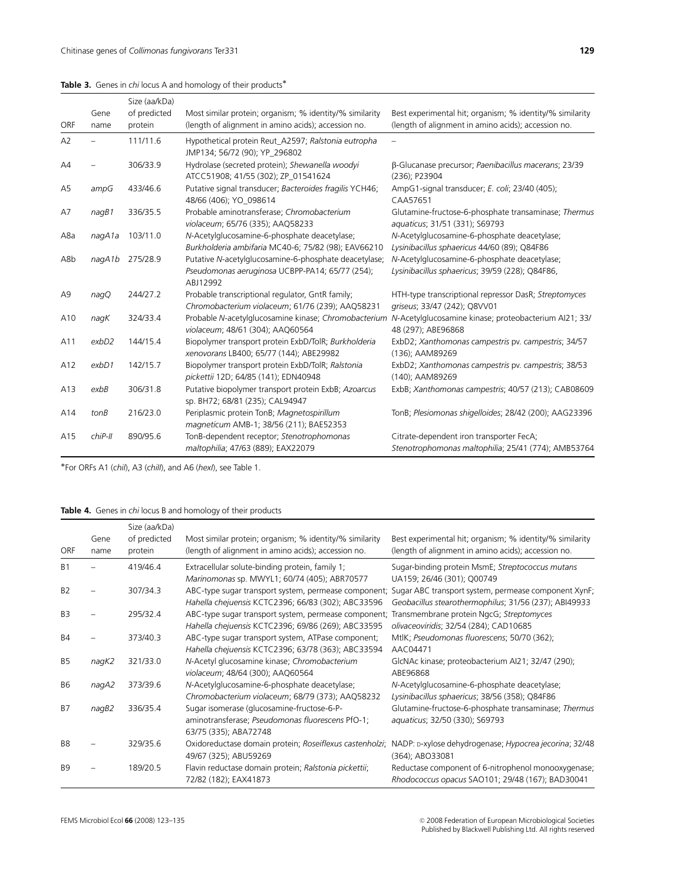## Table 3. Genes in chi locus A and homology of their products\*

|                |          | Size (aa/kDa) |                                                                                                                      |                                                                                                 |
|----------------|----------|---------------|----------------------------------------------------------------------------------------------------------------------|-------------------------------------------------------------------------------------------------|
|                | Gene     | of predicted  | Most similar protein; organism; % identity/% similarity                                                              | Best experimental hit; organism; % identity/% similarity                                        |
| <b>ORF</b>     | name     | protein       | (length of alignment in amino acids); accession no.                                                                  | (length of alignment in amino acids); accession no.                                             |
| A2             |          | 111/11.6      | Hypothetical protein Reut_A2597; Ralstonia eutropha<br>JMP134; 56/72 (90); YP 296802                                 |                                                                                                 |
| A4             |          | 306/33.9      | Hydrolase (secreted protein); Shewanella woodyi<br>ATCC51908; 41/55 (302); ZP 01541624                               | β-Glucanase precursor; Paenibacillus macerans; 23/39<br>(236): P23904                           |
| A <sub>5</sub> | ampG     | 433/46.6      | Putative signal transducer; Bacteroides fragilis YCH46;<br>48/66 (406); YO 098614                                    | AmpG1-signal transducer; E. coli; 23/40 (405);<br>CAA57651                                      |
| A7             | nagB1    | 336/35.5      | Probable aminotransferase; Chromobacterium<br>violaceum; 65/76 (335); AAQ58233                                       | Glutamine-fructose-6-phosphate transaminase; Thermus<br>aquaticus; 31/51 (331); S69793          |
| A8a            | nagA1a   | 103/11.0      | N-Acetylglucosamine-6-phosphate deacetylase;<br>Burkholderia ambifaria MC40-6; 75/82 (98); EAV66210                  | N-Acetylglucosamine-6-phosphate deacetylase;<br>Lysinibacillus sphaericus 44/60 (89); Q84F86    |
| A8b            | nagA1b   | 275/28.9      | Putative N-acetylglucosamine-6-phosphate deacetylase;<br>Pseudomonas aeruginosa UCBPP-PA14; 65/77 (254);<br>ABJ12992 | N-Acetylglucosamine-6-phosphate deacetylase;<br>Lysinibacillus sphaericus; 39/59 (228); Q84F86, |
| A <sub>9</sub> | naqQ     | 244/27.2      | Probable transcriptional regulator, GntR family;<br>Chromobacterium violaceum; 61/76 (239); AAQ58231                 | HTH-type transcriptional repressor DasR; Streptomyces<br>griseus; 33/47 (242); Q8VV01           |
| A10            | naqK     | 324/33.4      | Probable N-acetylglucosamine kinase; Chromobacterium<br>violaceum; 48/61 (304); AAQ60564                             | N-Acetylglucosamine kinase; proteobacterium AI21; 33/<br>48 (297); ABE96868                     |
| A11            | exbD2    | 144/15.4      | Biopolymer transport protein ExbD/TolR; Burkholderia<br>xenovorans LB400; 65/77 (144); ABE29982                      | ExbD2; Xanthomonas campestris pv. campestris; 34/57<br>(136); AAM89269                          |
| A12            | exbD1    | 142/15.7      | Biopolymer transport protein ExbD/TolR; Ralstonia<br>pickettii 12D; 64/85 (141); EDN40948                            | ExbD2; Xanthomonas campestris pv. campestris; 38/53<br>(140); AAM89269                          |
| A13            | exbB     | 306/31.8      | Putative biopolymer transport protein ExbB; Azoarcus<br>sp. BH72; 68/81 (235); CAL94947                              | ExbB; Xanthomonas campestris; 40/57 (213); CAB08609                                             |
| A14            | tonB     | 216/23.0      | Periplasmic protein TonB; Magnetospirillum<br>magneticum AMB-1; 38/56 (211); BAE52353                                | TonB; Plesiomonas shigelloides; 28/42 (200); AAG23396                                           |
| A15            | $chiP-H$ | 890/95.6      | TonB-dependent receptor; Stenotrophomonas<br>maltophilia; 47/63 (889); EAX22079                                      | Citrate-dependent iron transporter FecA;<br>Stenotrophomonas maltophilia; 25/41 (774); AMB53764 |

For ORFs A1 (chiI), A3 (chiII), and A6 (hexI), see Table 1.

## Table 4. Genes in chi locus B and homology of their products

| ORF            | Gene<br>name | Size (aa/kDa)<br>of predicted<br>protein | Most similar protein; organism; % identity/% similarity<br>(length of alignment in amino acids); accession no.          | Best experimental hit; organism; % identity/% similarity<br>(length of alignment in amino acids); accession no. |
|----------------|--------------|------------------------------------------|-------------------------------------------------------------------------------------------------------------------------|-----------------------------------------------------------------------------------------------------------------|
| B <sub>1</sub> |              | 419/46.4                                 | Extracellular solute-binding protein, family 1;<br>Marinomonas sp. MWYL1; 60/74 (405); ABR70577                         | Sugar-binding protein MsmE; Streptococcus mutans<br>UA159; 26/46 (301); Q00749                                  |
| <b>B2</b>      |              | 307/34.3                                 | ABC-type sugar transport system, permease component;<br>Hahella chejuensis KCTC2396; 66/83 (302); ABC33596              | Sugar ABC transport system, permease component XynF;<br>Geobacillus stearothermophilus; 31/56 (237); ABI49933   |
| B <sub>3</sub> |              | 295/32.4                                 | ABC-type sugar transport system, permease component;<br>Hahella chejuensis KCTC2396; 69/86 (269); ABC33595              | Transmembrane protein NgcG; Streptomyces<br>olivaceoviridis; 32/54 (284); CAD10685                              |
| <b>B4</b>      |              | 373/40.3                                 | ABC-type sugar transport system, ATPase component;<br>Hahella chejuensis KCTC2396; 63/78 (363); ABC33594                | MtlK; Pseudomonas fluorescens; 50/70 (362);<br>AAC04471                                                         |
| <b>B5</b>      | nagK2        | 321/33.0                                 | N-Acetyl glucosamine kinase; Chromobacterium<br>violaceum; 48/64 (300); AAQ60564                                        | GlcNAc kinase; proteobacterium AI21; 32/47 (290);<br>ABE96868                                                   |
| <b>B6</b>      | nagA2        | 373/39.6                                 | N-Acetylglucosamine-6-phosphate deacetylase;<br>Chromobacterium violaceum; 68/79 (373); AAQ58232                        | N-Acetylglucosamine-6-phosphate deacetylase;<br>Lysinibacillus sphaericus; 38/56 (358); Q84F86                  |
| B7             | naqB2        | 336/35.4                                 | Sugar isomerase (glucosamine-fructose-6-P-<br>aminotransferase; Pseudomonas fluorescens PfO-1;<br>63/75 (335); ABA72748 | Glutamine-fructose-6-phosphate transaminase; Thermus<br>aquaticus; 32/50 (330); S69793                          |
| B <sub>8</sub> |              | 329/35.6                                 | Oxidoreductase domain protein; Roseiflexus castenholzi;<br>49/67 (325); ABU59269                                        | NADP: D-xylose dehydrogenase; Hypocrea jecorina; 32/48<br>(364); ABO33081                                       |
| B <sub>9</sub> |              | 189/20.5                                 | Flavin reductase domain protein; Ralstonia pickettii;<br>72/82 (182); EAX41873                                          | Reductase component of 6-nitrophenol monooxygenase;<br>Rhodococcus opacus SAO101; 29/48 (167); BAD30041         |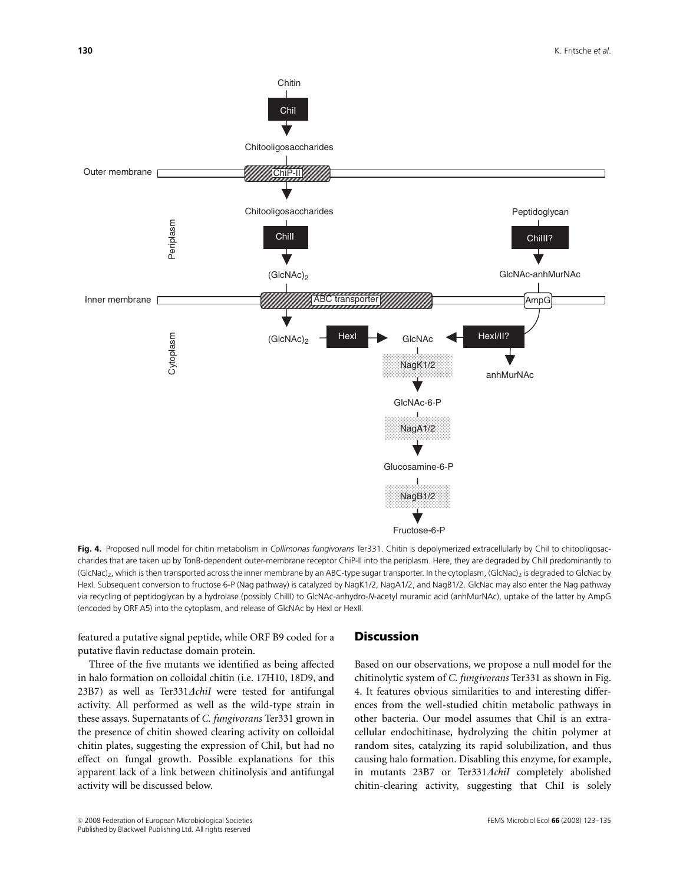

Fig. 4. Proposed null model for chitin metabolism in Collimonas fungivorans Ter331. Chitin is depolymerized extracellularly by ChiI to chitooligosaccharides that are taken up by TonB-dependent outer-membrane receptor ChiP-II into the periplasm. Here, they are degraded by ChiII predominantly to (GlcNac)<sub>2</sub>, which is then transported across the inner membrane by an ABC-type sugar transporter. In the cytoplasm, (GlcNac)<sub>2</sub> is degraded to GlcNac by HexI. Subsequent conversion to fructose 6-P (Nag pathway) is catalyzed by NagK1/2, NagA1/2, and NagB1/2. GlcNac may also enter the Nag pathway via recycling of peptidoglycan by a hydrolase (possibly ChiIII) to GlcNAc-anhydro-N-acetyl muramic acid (anhMurNAc), uptake of the latter by AmpG (encoded by ORF A5) into the cytoplasm, and release of GlcNAc by HexI or HexII.

featured a putative signal peptide, while ORF B9 coded for a putative flavin reductase domain protein.

Three of the five mutants we identified as being affected in halo formation on colloidal chitin (i.e. 17H10, 18D9, and 23B7) as well as Ter331 $\triangle$ chiI were tested for antifungal activity. All performed as well as the wild-type strain in these assays. Supernatants of C. fungivorans Ter331 grown in the presence of chitin showed clearing activity on colloidal chitin plates, suggesting the expression of ChiI, but had no effect on fungal growth. Possible explanations for this apparent lack of a link between chitinolysis and antifungal activity will be discussed below.

## **Discussion**

Based on our observations, we propose a null model for the chitinolytic system of C. fungivorans Ter331 as shown in Fig. 4. It features obvious similarities to and interesting differences from the well-studied chitin metabolic pathways in other bacteria. Our model assumes that ChiI is an extracellular endochitinase, hydrolyzing the chitin polymer at random sites, catalyzing its rapid solubilization, and thus causing halo formation. Disabling this enzyme, for example, in mutants  $23B7$  or Ter331 $\Delta$ chiI completely abolished chitin-clearing activity, suggesting that ChiI is solely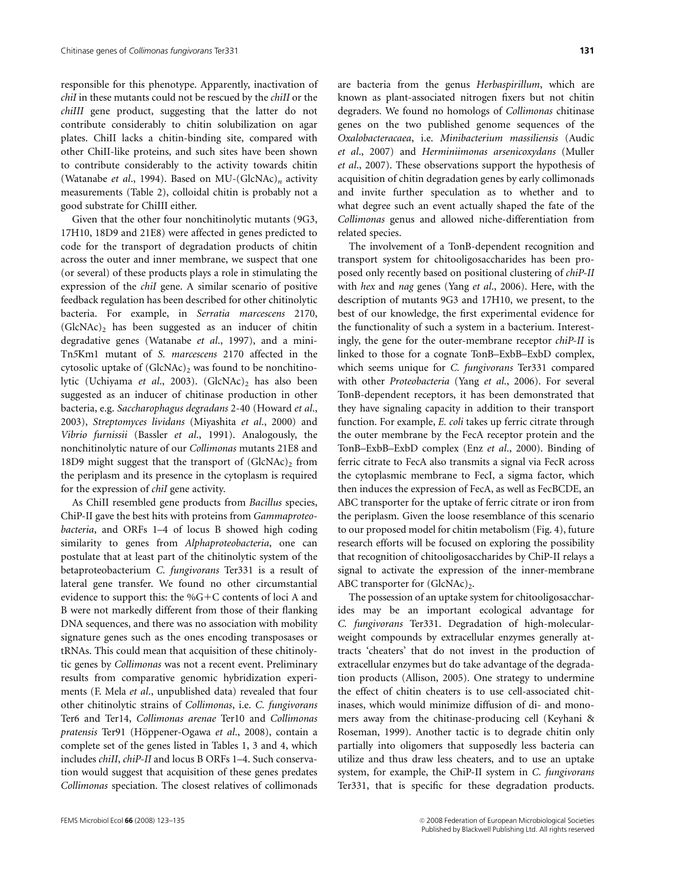responsible for this phenotype. Apparently, inactivation of chiI in these mutants could not be rescued by the chiII or the chiIII gene product, suggesting that the latter do not contribute considerably to chitin solubilization on agar plates. ChiII lacks a chitin-binding site, compared with other ChiII-like proteins, and such sites have been shown to contribute considerably to the activity towards chitin (Watanabe et al., 1994). Based on MU-(GlcNAc)<sub>n</sub> activity measurements (Table 2), colloidal chitin is probably not a good substrate for ChiIII either.

Given that the other four nonchitinolytic mutants (9G3, 17H10, 18D9 and 21E8) were affected in genes predicted to code for the transport of degradation products of chitin across the outer and inner membrane, we suspect that one (or several) of these products plays a role in stimulating the expression of the chiI gene. A similar scenario of positive feedback regulation has been described for other chitinolytic bacteria. For example, in Serratia marcescens 2170,  $(GlcNAc)_2$  has been suggested as an inducer of chitin degradative genes (Watanabe et al., 1997), and a mini-Tn5Km1 mutant of S. marcescens 2170 affected in the cytosolic uptake of  $(GlcNAc)$ , was found to be nonchitinolytic (Uchiyama et al., 2003). (GlcNAc)<sub>2</sub> has also been suggested as an inducer of chitinase production in other bacteria, e.g. Saccharophagus degradans 2-40 (Howard et al., 2003), Streptomyces lividans (Miyashita et al., 2000) and Vibrio furnissii (Bassler et al., 1991). Analogously, the nonchitinolytic nature of our Collimonas mutants 21E8 and 18D9 might suggest that the transport of  $(GlcNAc)$  from the periplasm and its presence in the cytoplasm is required for the expression of chiI gene activity.

As ChiII resembled gene products from Bacillus species, ChiP-II gave the best hits with proteins from Gammaproteobacteria, and ORFs 1–4 of locus B showed high coding similarity to genes from Alphaproteobacteria, one can postulate that at least part of the chitinolytic system of the betaproteobacterium C. fungivorans Ter331 is a result of lateral gene transfer. We found no other circumstantial evidence to support this: the  $\%G+C$  contents of loci A and B were not markedly different from those of their flanking DNA sequences, and there was no association with mobility signature genes such as the ones encoding transposases or tRNAs. This could mean that acquisition of these chitinolytic genes by Collimonas was not a recent event. Preliminary results from comparative genomic hybridization experiments (F. Mela et al., unpublished data) revealed that four other chitinolytic strains of Collimonas, i.e. C. fungivorans Ter6 and Ter14, Collimonas arenae Ter10 and Collimonas pratensis Ter91 (Höppener-Ogawa et al., 2008), contain a complete set of the genes listed in Tables 1, 3 and 4, which includes chiII, chiP-II and locus B ORFs 1–4. Such conservation would suggest that acquisition of these genes predates Collimonas speciation. The closest relatives of collimonads

are bacteria from the genus Herbaspirillum, which are known as plant-associated nitrogen fixers but not chitin degraders. We found no homologs of Collimonas chitinase genes on the two published genome sequences of the Oxalobacteracaea, i.e. Minibacterium massiliensis (Audic et al., 2007) and Herminiimonas arsenicoxydans (Muller et al., 2007). These observations support the hypothesis of acquisition of chitin degradation genes by early collimonads and invite further speculation as to whether and to what degree such an event actually shaped the fate of the Collimonas genus and allowed niche-differentiation from related species.

The involvement of a TonB-dependent recognition and transport system for chitooligosaccharides has been proposed only recently based on positional clustering of chiP-II with hex and nag genes (Yang et al., 2006). Here, with the description of mutants 9G3 and 17H10, we present, to the best of our knowledge, the first experimental evidence for the functionality of such a system in a bacterium. Interestingly, the gene for the outer-membrane receptor chiP-II is linked to those for a cognate TonB–ExbB–ExbD complex, which seems unique for C. fungivorans Ter331 compared with other *Proteobacteria* (Yang et al., 2006). For several TonB-dependent receptors, it has been demonstrated that they have signaling capacity in addition to their transport function. For example, E. coli takes up ferric citrate through the outer membrane by the FecA receptor protein and the TonB–ExbB–ExbD complex (Enz et al., 2000). Binding of ferric citrate to FecA also transmits a signal via FecR across the cytoplasmic membrane to FecI, a sigma factor, which then induces the expression of FecA, as well as FecBCDE, an ABC transporter for the uptake of ferric citrate or iron from the periplasm. Given the loose resemblance of this scenario to our proposed model for chitin metabolism (Fig. 4), future research efforts will be focused on exploring the possibility that recognition of chitooligosaccharides by ChiP-II relays a signal to activate the expression of the inner-membrane ABC transporter for  $(GlcNAc)_2$ .

The possession of an uptake system for chitooligosaccharides may be an important ecological advantage for C. fungivorans Ter331. Degradation of high-molecularweight compounds by extracellular enzymes generally attracts 'cheaters' that do not invest in the production of extracellular enzymes but do take advantage of the degradation products (Allison, 2005). One strategy to undermine the effect of chitin cheaters is to use cell-associated chitinases, which would minimize diffusion of di- and monomers away from the chitinase-producing cell (Keyhani & Roseman, 1999). Another tactic is to degrade chitin only partially into oligomers that supposedly less bacteria can utilize and thus draw less cheaters, and to use an uptake system, for example, the ChiP-II system in C. fungivorans Ter331, that is specific for these degradation products.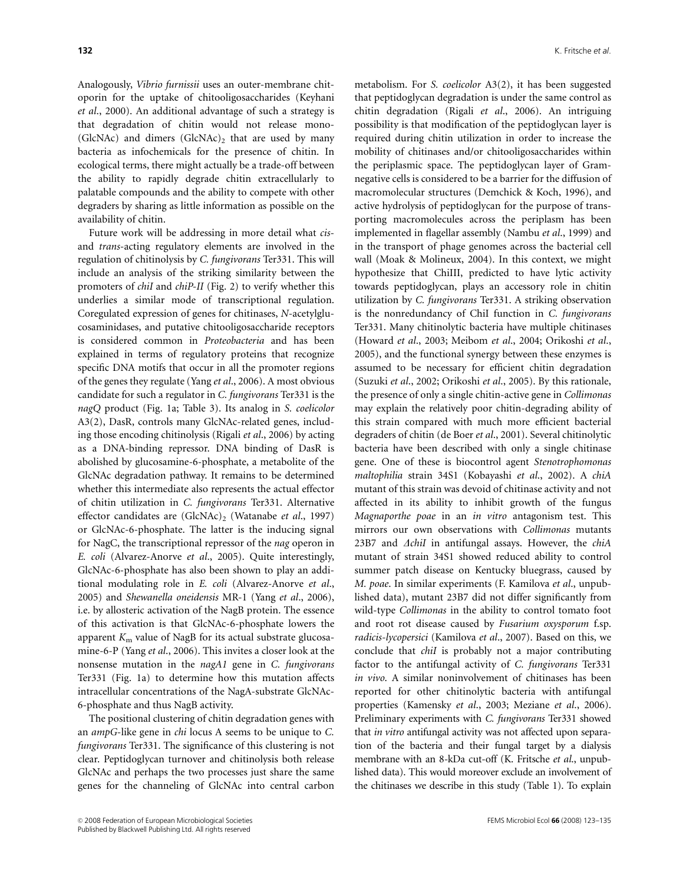Analogously, Vibrio furnissii uses an outer-membrane chitoporin for the uptake of chitooligosaccharides (Keyhani et al., 2000). An additional advantage of such a strategy is that degradation of chitin would not release mono- (GlcNAc) and dimers (GlcNAc)<sub>2</sub> that are used by many bacteria as infochemicals for the presence of chitin. In ecological terms, there might actually be a trade-off between the ability to rapidly degrade chitin extracellularly to palatable compounds and the ability to compete with other degraders by sharing as little information as possible on the availability of chitin.

Future work will be addressing in more detail what cisand trans-acting regulatory elements are involved in the regulation of chitinolysis by C. fungivorans Ter331. This will include an analysis of the striking similarity between the promoters of chiI and chiP-II (Fig. 2) to verify whether this underlies a similar mode of transcriptional regulation. Coregulated expression of genes for chitinases, N-acetylglucosaminidases, and putative chitooligosaccharide receptors is considered common in Proteobacteria and has been explained in terms of regulatory proteins that recognize specific DNA motifs that occur in all the promoter regions of the genes they regulate (Yang et al., 2006). A most obvious candidate for such a regulator in C. fungivorans Ter331 is the nagQ product (Fig. 1a; Table 3). Its analog in S. coelicolor A3(2), DasR, controls many GlcNAc-related genes, including those encoding chitinolysis (Rigali et al., 2006) by acting as a DNA-binding repressor. DNA binding of DasR is abolished by glucosamine-6-phosphate, a metabolite of the GlcNAc degradation pathway. It remains to be determined whether this intermediate also represents the actual effector of chitin utilization in C. fungivorans Ter331. Alternative effector candidates are  $(GlcNAc)$ <sub>2</sub> (Watanabe et al., 1997) or GlcNAc-6-phosphate. The latter is the inducing signal for NagC, the transcriptional repressor of the nag operon in E. coli (Alvarez-Anorve et al., 2005). Quite interestingly, GlcNAc-6-phosphate has also been shown to play an additional modulating role in E. coli (Alvarez-Anorve et al., 2005) and Shewanella oneidensis MR-1 (Yang et al., 2006), i.e. by allosteric activation of the NagB protein. The essence of this activation is that GlcNAc-6-phosphate lowers the apparent  $K<sub>m</sub>$  value of NagB for its actual substrate glucosamine-6-P (Yang et al., 2006). This invites a closer look at the nonsense mutation in the nagA1 gene in C. fungivorans Ter331 (Fig. 1a) to determine how this mutation affects intracellular concentrations of the NagA-substrate GlcNAc-6-phosphate and thus NagB activity.

The positional clustering of chitin degradation genes with an ampG-like gene in chi locus A seems to be unique to C. fungivorans Ter331. The significance of this clustering is not clear. Peptidoglycan turnover and chitinolysis both release GlcNAc and perhaps the two processes just share the same genes for the channeling of GlcNAc into central carbon metabolism. For S. coelicolor A3(2), it has been suggested that peptidoglycan degradation is under the same control as chitin degradation (Rigali et al., 2006). An intriguing possibility is that modification of the peptidoglycan layer is required during chitin utilization in order to increase the mobility of chitinases and/or chitooligosaccharides within the periplasmic space. The peptidoglycan layer of Gramnegative cells is considered to be a barrier for the diffusion of macromolecular structures (Demchick & Koch, 1996), and active hydrolysis of peptidoglycan for the purpose of transporting macromolecules across the periplasm has been implemented in flagellar assembly (Nambu et al., 1999) and in the transport of phage genomes across the bacterial cell wall (Moak & Molineux, 2004). In this context, we might hypothesize that ChiIII, predicted to have lytic activity towards peptidoglycan, plays an accessory role in chitin utilization by C. fungivorans Ter331. A striking observation is the nonredundancy of ChiI function in C. fungivorans Ter331. Many chitinolytic bacteria have multiple chitinases (Howard et al., 2003; Meibom et al., 2004; Orikoshi et al., 2005), and the functional synergy between these enzymes is assumed to be necessary for efficient chitin degradation (Suzuki et al., 2002; Orikoshi et al., 2005). By this rationale, the presence of only a single chitin-active gene in Collimonas may explain the relatively poor chitin-degrading ability of this strain compared with much more efficient bacterial degraders of chitin (de Boer et al., 2001). Several chitinolytic bacteria have been described with only a single chitinase gene. One of these is biocontrol agent Stenotrophomonas maltophilia strain 34S1 (Kobayashi et al., 2002). A chiA mutant of this strain was devoid of chitinase activity and not affected in its ability to inhibit growth of the fungus Magnaporthe poae in an in vitro antagonism test. This mirrors our own observations with Collimonas mutants 23B7 and  $\Delta$ chiI in antifungal assays. However, the chiA mutant of strain 34S1 showed reduced ability to control summer patch disease on Kentucky bluegrass, caused by M. poae. In similar experiments (F. Kamilova et al., unpublished data), mutant 23B7 did not differ significantly from wild-type Collimonas in the ability to control tomato foot and root rot disease caused by Fusarium oxysporum f.sp. radicis-lycopersici (Kamilova et al., 2007). Based on this, we conclude that chiI is probably not a major contributing factor to the antifungal activity of C. fungivorans Ter331 in vivo. A similar noninvolvement of chitinases has been reported for other chitinolytic bacteria with antifungal properties (Kamensky et al., 2003; Meziane et al., 2006). Preliminary experiments with C. fungivorans Ter331 showed that *in vitro* antifungal activity was not affected upon separation of the bacteria and their fungal target by a dialysis membrane with an 8-kDa cut-off (K. Fritsche et al., unpublished data). This would moreover exclude an involvement of the chitinases we describe in this study (Table 1). To explain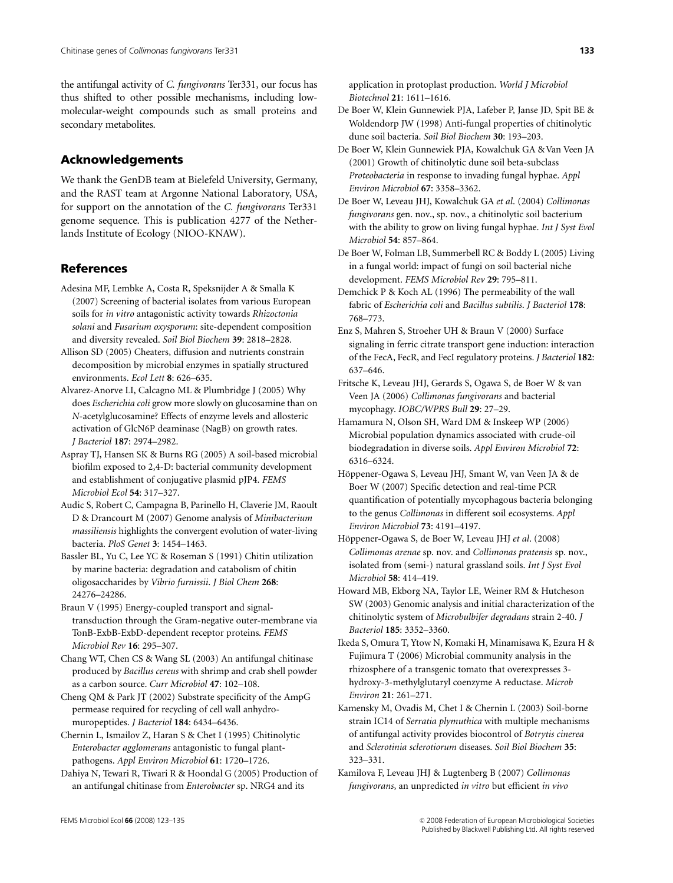the antifungal activity of C. fungivorans Ter331, our focus has thus shifted to other possible mechanisms, including lowmolecular-weight compounds such as small proteins and secondary metabolites.

# Acknowledgements

We thank the GenDB team at Bielefeld University, Germany, and the RAST team at Argonne National Laboratory, USA, for support on the annotation of the C. fungivorans Ter331 genome sequence. This is publication 4277 of the Netherlands Institute of Ecology (NIOO-KNAW).

## References

- Adesina MF, Lembke A, Costa R, Speksnijder A & Smalla K (2007) Screening of bacterial isolates from various European soils for in vitro antagonistic activity towards Rhizoctonia solani and Fusarium oxysporum: site-dependent composition and diversity revealed. Soil Biol Biochem 39: 2818–2828.
- Allison SD (2005) Cheaters, diffusion and nutrients constrain decomposition by microbial enzymes in spatially structured environments. Ecol Lett 8: 626–635.
- Alvarez-Anorve LI, Calcagno ML & Plumbridge J (2005) Why does Escherichia coli grow more slowly on glucosamine than on N-acetylglucosamine? Effects of enzyme levels and allosteric activation of GlcN6P deaminase (NagB) on growth rates. J Bacteriol 187: 2974–2982.
- Aspray TJ, Hansen SK & Burns RG (2005) A soil-based microbial biofilm exposed to 2,4-D: bacterial community development and establishment of conjugative plasmid pJP4. FEMS Microbiol Ecol 54: 317–327.
- Audic S, Robert C, Campagna B, Parinello H, Claverie JM, Raoult D & Drancourt M (2007) Genome analysis of Minibacterium massiliensis highlights the convergent evolution of water-living bacteria. PloS Genet 3: 1454–1463.
- Bassler BL, Yu C, Lee YC & Roseman S (1991) Chitin utilization by marine bacteria: degradation and catabolism of chitin oligosaccharides by Vibrio furnissii. J Biol Chem 268: 24276–24286.
- Braun V (1995) Energy-coupled transport and signaltransduction through the Gram-negative outer-membrane via TonB-ExbB-ExbD-dependent receptor proteins. FEMS Microbiol Rev 16: 295–307.
- Chang WT, Chen CS & Wang SL (2003) An antifungal chitinase produced by Bacillus cereus with shrimp and crab shell powder as a carbon source. Curr Microbiol 47: 102–108.
- Cheng QM & Park JT (2002) Substrate specificity of the AmpG permease required for recycling of cell wall anhydromuropeptides. J Bacteriol 184: 6434–6436.
- Chernin L, Ismailov Z, Haran S & Chet I (1995) Chitinolytic Enterobacter agglomerans antagonistic to fungal plantpathogens. Appl Environ Microbiol 61: 1720–1726.
- Dahiya N, Tewari R, Tiwari R & Hoondal G (2005) Production of an antifungal chitinase from Enterobacter sp. NRG4 and its

application in protoplast production. World J Microbiol Biotechnol 21: 1611–1616.

- De Boer W, Klein Gunnewiek PJA, Lafeber P, Janse JD, Spit BE & Woldendorp JW (1998) Anti-fungal properties of chitinolytic dune soil bacteria. Soil Biol Biochem 30: 193–203.
- De Boer W, Klein Gunnewiek PJA, Kowalchuk GA & Van Veen JA (2001) Growth of chitinolytic dune soil beta-subclass Proteobacteria in response to invading fungal hyphae. Appl Environ Microbiol 67: 3358–3362.
- De Boer W, Leveau JHJ, Kowalchuk GA et al. (2004) Collimonas fungivorans gen. nov., sp. nov., a chitinolytic soil bacterium with the ability to grow on living fungal hyphae. Int J Syst Evol Microbiol 54: 857–864.
- De Boer W, Folman LB, Summerbell RC & Boddy L (2005) Living in a fungal world: impact of fungi on soil bacterial niche development. FEMS Microbiol Rev 29: 795–811.
- Demchick P & Koch AL (1996) The permeability of the wall fabric of Escherichia coli and Bacillus subtilis. J Bacteriol 178: 768–773.
- Enz S, Mahren S, Stroeher UH & Braun V (2000) Surface signaling in ferric citrate transport gene induction: interaction of the FecA, FecR, and FecI regulatory proteins. J Bacteriol 182: 637–646.
- Fritsche K, Leveau JHJ, Gerards S, Ogawa S, de Boer W & van Veen JA (2006) Collimonas fungivorans and bacterial mycophagy. IOBC/WPRS Bull 29: 27–29.
- Hamamura N, Olson SH, Ward DM & Inskeep WP (2006) Microbial population dynamics associated with crude-oil biodegradation in diverse soils. Appl Environ Microbiol 72: 6316–6324.
- Höppener-Ogawa S, Leveau JHJ, Smant W, van Veen JA & de Boer W (2007) Specific detection and real-time PCR quantification of potentially mycophagous bacteria belonging to the genus Collimonas in different soil ecosystems. Appl Environ Microbiol 73: 4191–4197.
- Höppener-Ogawa S, de Boer W, Leveau JHJ et al. (2008) Collimonas arenae sp. nov. and Collimonas pratensis sp. nov., isolated from (semi-) natural grassland soils. Int J Syst Evol Microbiol 58: 414–419.
- Howard MB, Ekborg NA, Taylor LE, Weiner RM & Hutcheson SW (2003) Genomic analysis and initial characterization of the chitinolytic system of Microbulbifer degradans strain 2-40. J Bacteriol 185: 3352–3360.
- Ikeda S, Omura T, Ytow N, Komaki H, Minamisawa K, Ezura H & Fujimura T (2006) Microbial community analysis in the rhizosphere of a transgenic tomato that overexpresses 3 hydroxy-3-methylglutaryl coenzyme A reductase. Microb Environ 21: 261–271.
- Kamensky M, Ovadis M, Chet I & Chernin L (2003) Soil-borne strain IC14 of Serratia plymuthica with multiple mechanisms of antifungal activity provides biocontrol of Botrytis cinerea and Sclerotinia sclerotiorum diseases. Soil Biol Biochem 35: 323–331.
- Kamilova F, Leveau JHJ & Lugtenberg B (2007) Collimonas fungivorans, an unpredicted in vitro but efficient in vivo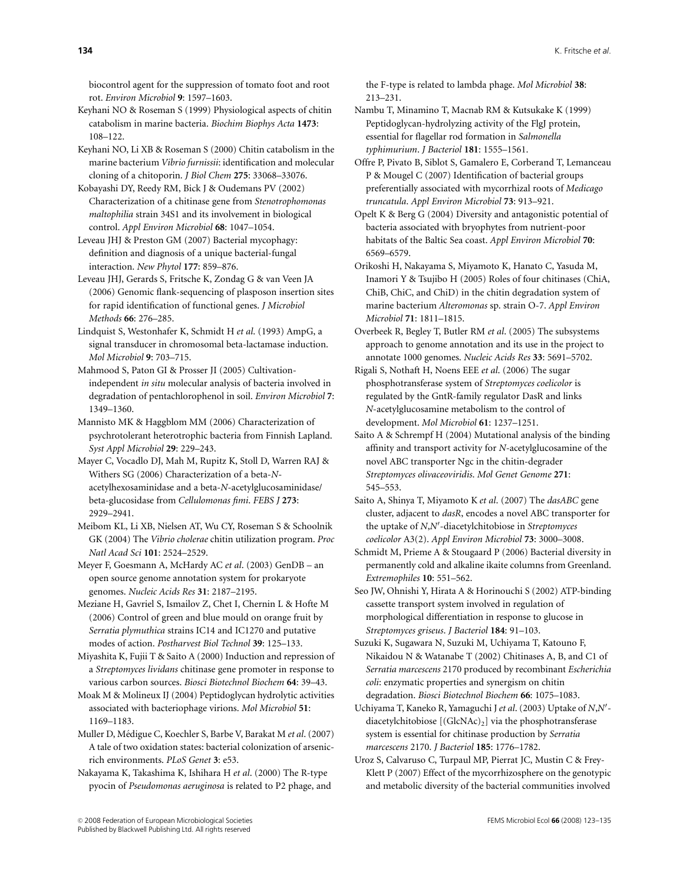biocontrol agent for the suppression of tomato foot and root rot. Environ Microbiol 9: 1597–1603.

Keyhani NO & Roseman S (1999) Physiological aspects of chitin catabolism in marine bacteria. Biochim Biophys Acta 1473: 108–122.

Keyhani NO, Li XB & Roseman S (2000) Chitin catabolism in the marine bacterium Vibrio furnissii: identification and molecular cloning of a chitoporin. J Biol Chem 275: 33068–33076.

Kobayashi DY, Reedy RM, Bick J & Oudemans PV (2002) Characterization of a chitinase gene from Stenotrophomonas maltophilia strain 34S1 and its involvement in biological control. Appl Environ Microbiol 68: 1047–1054.

Leveau JHJ & Preston GM (2007) Bacterial mycophagy: definition and diagnosis of a unique bacterial-fungal interaction. New Phytol 177: 859–876.

Leveau JHJ, Gerards S, Fritsche K, Zondag G & van Veen JA (2006) Genomic flank-sequencing of plasposon insertion sites for rapid identification of functional genes. J Microbiol Methods 66: 276–285.

Lindquist S, Westonhafer K, Schmidt H et al. (1993) AmpG, a signal transducer in chromosomal beta-lactamase induction. Mol Microbiol 9: 703–715.

Mahmood S, Paton GI & Prosser JI (2005) Cultivationindependent in situ molecular analysis of bacteria involved in degradation of pentachlorophenol in soil. Environ Microbiol 7: 1349–1360.

Mannisto MK & Haggblom MM (2006) Characterization of psychrotolerant heterotrophic bacteria from Finnish Lapland. Syst Appl Microbiol 29: 229–243.

Mayer C, Vocadlo DJ, Mah M, Rupitz K, Stoll D, Warren RAJ & Withers SG (2006) Characterization of a beta-Nacetylhexosaminidase and a beta-N-acetylglucosaminidase/ beta-glucosidase from Cellulomonas fimi. FEBS J 273: 2929–2941.

Meibom KL, Li XB, Nielsen AT, Wu CY, Roseman S & Schoolnik GK (2004) The Vibrio cholerae chitin utilization program. Proc Natl Acad Sci 101: 2524–2529.

Meyer F, Goesmann A, McHardy AC et al. (2003) GenDB – an open source genome annotation system for prokaryote genomes. Nucleic Acids Res 31: 2187–2195.

Meziane H, Gavriel S, Ismailov Z, Chet I, Chernin L & Hofte M (2006) Control of green and blue mould on orange fruit by Serratia plymuthica strains IC14 and IC1270 and putative modes of action. Postharvest Biol Technol 39: 125–133.

Miyashita K, Fujii T & Saito A (2000) Induction and repression of a Streptomyces lividans chitinase gene promoter in response to various carbon sources. Biosci Biotechnol Biochem 64: 39–43.

Moak M & Molineux IJ (2004) Peptidoglycan hydrolytic activities associated with bacteriophage virions. Mol Microbiol 51: 1169–1183.

Muller D, Médigue C, Koechler S, Barbe V, Barakat M et al. (2007) A tale of two oxidation states: bacterial colonization of arsenicrich environments. PLoS Genet 3: e53.

Nakayama K, Takashima K, Ishihara H et al. (2000) The R-type pyocin of Pseudomonas aeruginosa is related to P2 phage, and the F-type is related to lambda phage. Mol Microbiol 38: 213–231.

Nambu T, Minamino T, Macnab RM & Kutsukake K (1999) Peptidoglycan-hydrolyzing activity of the FlgJ protein, essential for flagellar rod formation in Salmonella typhimurium. J Bacteriol 181: 1555–1561.

Offre P, Pivato B, Siblot S, Gamalero E, Corberand T, Lemanceau P & Mougel C (2007) Identification of bacterial groups preferentially associated with mycorrhizal roots of Medicago truncatula. Appl Environ Microbiol 73: 913–921.

Opelt K & Berg G (2004) Diversity and antagonistic potential of bacteria associated with bryophytes from nutrient-poor habitats of the Baltic Sea coast. Appl Environ Microbiol 70: 6569–6579.

Orikoshi H, Nakayama S, Miyamoto K, Hanato C, Yasuda M, Inamori Y & Tsujibo H (2005) Roles of four chitinases (ChiA, ChiB, ChiC, and ChiD) in the chitin degradation system of marine bacterium Alteromonas sp. strain O-7. Appl Environ Microbiol 71: 1811–1815.

Overbeek R, Begley T, Butler RM et al. (2005) The subsystems approach to genome annotation and its use in the project to annotate 1000 genomes. Nucleic Acids Res 33: 5691–5702.

Rigali S, Nothaft H, Noens EEE et al. (2006) The sugar phosphotransferase system of Streptomyces coelicolor is regulated by the GntR-family regulator DasR and links N-acetylglucosamine metabolism to the control of development. Mol Microbiol 61: 1237–1251.

Saito A & Schrempf H (2004) Mutational analysis of the binding affinity and transport activity for N-acetylglucosamine of the novel ABC transporter Ngc in the chitin-degrader Streptomyces olivaceoviridis. Mol Genet Genome 271: 545–553.

Saito A, Shinya T, Miyamoto K et al. (2007) The dasABC gene cluster, adjacent to dasR, encodes a novel ABC transporter for the uptake of N,N'-diacetylchitobiose in Streptomyces coelicolor A3(2). Appl Environ Microbiol 73: 3000–3008.

Schmidt M, Prieme A & Stougaard P (2006) Bacterial diversity in permanently cold and alkaline ikaite columns from Greenland. Extremophiles 10: 551–562.

Seo JW, Ohnishi Y, Hirata A & Horinouchi S (2002) ATP-binding cassette transport system involved in regulation of morphological differentiation in response to glucose in Streptomyces griseus. J Bacteriol 184: 91–103.

Suzuki K, Sugawara N, Suzuki M, Uchiyama T, Katouno F, Nikaidou N & Watanabe T (2002) Chitinases A, B, and C1 of Serratia marcescens 2170 produced by recombinant Escherichia coli: enzymatic properties and synergism on chitin degradation. Biosci Biotechnol Biochem 66: 1075–1083.

Uchiyama T, Kaneko R, Yamaguchi J et al. (2003) Uptake of N,N'diacetylchitobiose  $[(GlcNAc)_2]$  via the phosphotransferase system is essential for chitinase production by Serratia marcescens 2170. J Bacteriol 185: 1776–1782.

Uroz S, Calvaruso C, Turpaul MP, Pierrat JC, Mustin C & Frey-Klett P (2007) Effect of the mycorrhizosphere on the genotypic and metabolic diversity of the bacterial communities involved